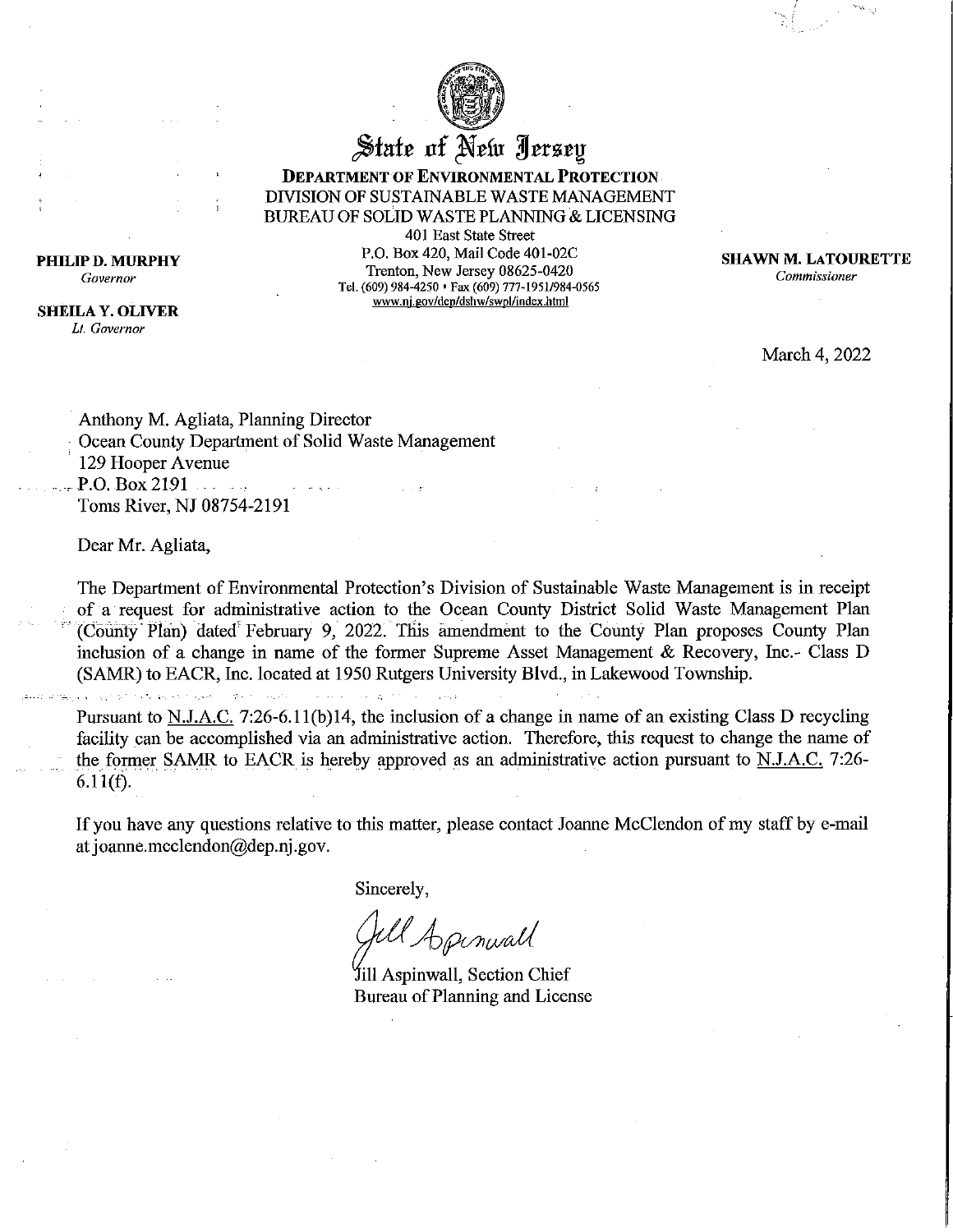

State of New Jersey

**DEPARTMENT OF ENVIRONMENTAL PROTECTION** DIVISION OF SUSTAINABLE WASTE MANAGEMENT **BUREAU OF SOLID WASTE PLANNING & LICENSING** 

401 East State Street P.O. Box 420, Mail Code 401-02C Trenton, New Jersey 08625-0420 Tel. (609) 984-4250 • Fax (609) 777-1951/984-0565 www.nj.gov/dep/dshw/swpl/index.html

**SHAWN M. LATOURETTE** Commissioner

March 4, 2022

Anthony M. Agliata, Planning Director Ocean County Department of Solid Waste Management 129 Hooper Avenue  $P.O. Box 2191$ Toms River, NJ 08754-2191

Dear Mr. Agliata,

The Department of Environmental Protection's Division of Sustainable Waste Management is in receipt of a request for administrative action to the Ocean County District Solid Waste Management Plan (County Plan) dated February 9, 2022. This amendment to the County Plan proposes County Plan inclusion of a change in name of the former Supreme Asset Management & Recovery, Inc.- Class D (SAMR) to EACR, Inc. located at 1950 Rutgers University Blvd., in Lakewood Township.

 $\mathcal{L}(\mathcal{C}_{\mathbf{m}}^{\mathbf{m}}) \leq \sqrt{(\mathcal{C}_{\mathbf{m}}^{\mathbf{m}})^2 \mathcal{L}^2} \leq \sqrt{\mathcal{L}^2} \mathcal{L}^2 \leq \sqrt{\mathcal{L}^2} \mathcal{L}^2 \leq \sqrt{\mathcal{L}^2} \mathcal{L}^2 \leq \sqrt{\mathcal{L}^2} \mathcal{L}^2 \leq \sqrt{\mathcal{L}^2} \mathcal{L}^2 \leq \sqrt{\mathcal{L}^2} \mathcal{L}^2 \leq \sqrt{\mathcal{L}^2} \mathcal{L}^2 \leq \$ and the control in a se

Pursuant to N.J.A.C. 7:26-6.11(b)14, the inclusion of a change in name of an existing Class D recycling facility can be accomplished via an administrative action. Therefore, this request to change the name of the former SAMR to EACR is hereby approved as an administrative action pursuant to N.J.A.C. 7:26- $6.11(f).$ 

If you have any questions relative to this matter, please contact Joanne McClendon of my staff by e-mail at joanne.mcclendon@dep.nj.gov.

Sincerely,

& Apenwall

Jill Aspinwall, Section Chief Bureau of Planning and License

PHILIP D. MURPHY Governor

**SHEILA Y. OLIVER** Li Governor